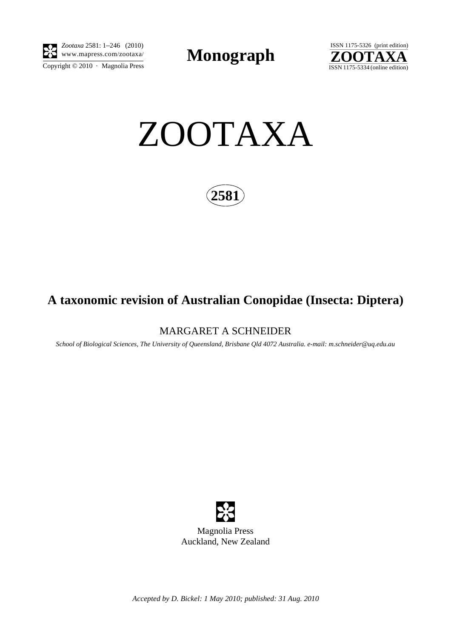

 $\overline{\text{Copyright} \odot 2010\, \cdot \text{ Magnolia Press}}}$ *Zootaxa* 2581: 1–246 (2010)

**Monograph** 





**2581**

# **A taxonomic revision of Australian Conopidae (Insecta: Diptera)**

## MARGARET A SCHNEIDER

*School of Biological Sciences, The University of Queensland, Brisbane Qld 4072 Australia. e-mail: m.schneider@uq.edu.au*



*Accepted by D. Bickel: 1 May 2010; published: 31 Aug. 2010*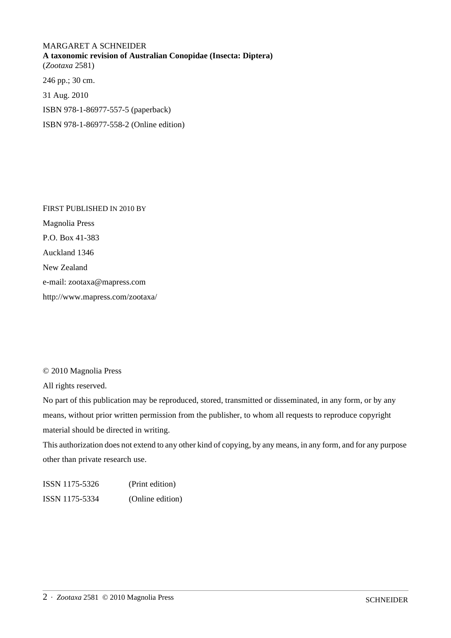# MARGARET A SCHNEIDER **A taxonomic revision of Australian Conopidae (Insecta: Diptera)** (*Zootaxa* 2581)

246 pp.; 30 cm. 31 Aug. 2010 ISBN 978-1-86977-557-5 (paperback) ISBN 978-1-86977-558-2 (Online edition)

FIRST PUBLISHED IN 2010 BY Magnolia Press P.O. Box 41-383 Auckland 1346 New Zealand e-mail: zootaxa@mapress.com http://www.mapress.com/zootaxa/

### © 2010 Magnolia Press

All rights reserved.

No part of this publication may be reproduced, stored, transmitted or disseminated, in any form, or by any means, without prior written permission from the publisher, to whom all requests to reproduce copyright material should be directed in writing.

This authorization does not extend to any other kind of copying, by any means, in any form, and for any purpose other than private research use.

ISSN 1175-5326 (Print edition) ISSN 1175-5334 (Online edition)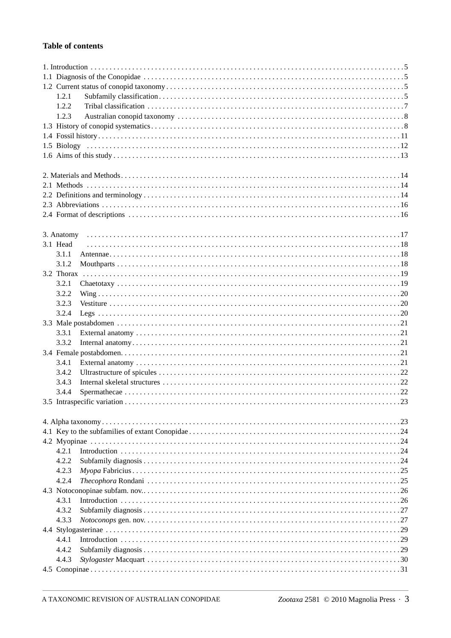### **Table of contents**

|  | 1.2.1      |  |  |  |  |  |
|--|------------|--|--|--|--|--|
|  | 1.2.2      |  |  |  |  |  |
|  | 1.2.3      |  |  |  |  |  |
|  |            |  |  |  |  |  |
|  |            |  |  |  |  |  |
|  |            |  |  |  |  |  |
|  |            |  |  |  |  |  |
|  |            |  |  |  |  |  |
|  |            |  |  |  |  |  |
|  |            |  |  |  |  |  |
|  |            |  |  |  |  |  |
|  |            |  |  |  |  |  |
|  |            |  |  |  |  |  |
|  | 3. Anatomy |  |  |  |  |  |
|  | 3.1 Head   |  |  |  |  |  |
|  | 3.1.1      |  |  |  |  |  |
|  | 3.1.2      |  |  |  |  |  |
|  |            |  |  |  |  |  |
|  | 3.2.1      |  |  |  |  |  |
|  | 3.2.2      |  |  |  |  |  |
|  | 3.2.3      |  |  |  |  |  |
|  | 3.2.4      |  |  |  |  |  |
|  |            |  |  |  |  |  |
|  | 3.3.1      |  |  |  |  |  |
|  | 3.3.2      |  |  |  |  |  |
|  |            |  |  |  |  |  |
|  | 3.4.1      |  |  |  |  |  |
|  | 3.4.2      |  |  |  |  |  |
|  | 3.4.3      |  |  |  |  |  |
|  | 3.4.4      |  |  |  |  |  |
|  |            |  |  |  |  |  |
|  |            |  |  |  |  |  |
|  |            |  |  |  |  |  |
|  |            |  |  |  |  |  |
|  |            |  |  |  |  |  |
|  | 4.2.1      |  |  |  |  |  |
|  | 4.2.2      |  |  |  |  |  |
|  | 4.2.3      |  |  |  |  |  |
|  | 4.2.4      |  |  |  |  |  |
|  |            |  |  |  |  |  |
|  | 4.3.1      |  |  |  |  |  |
|  | 4.3.2      |  |  |  |  |  |
|  | 4.3.3      |  |  |  |  |  |
|  |            |  |  |  |  |  |
|  | 4.4.1      |  |  |  |  |  |
|  | 4.4.2      |  |  |  |  |  |
|  | 4.4.3      |  |  |  |  |  |
|  |            |  |  |  |  |  |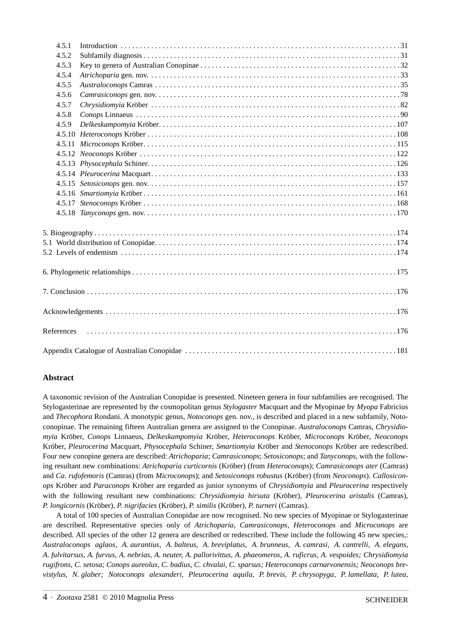| 4.5.1      |  |
|------------|--|
| 4.5.2      |  |
| 4.5.3      |  |
| 4.5.4      |  |
| 4.5.5      |  |
| 4.5.6      |  |
| 4.5.7      |  |
| 4.5.8      |  |
| 4.5.9      |  |
|            |  |
|            |  |
|            |  |
|            |  |
|            |  |
|            |  |
|            |  |
|            |  |
|            |  |
|            |  |
|            |  |
|            |  |
|            |  |
|            |  |
|            |  |
| References |  |
|            |  |

#### **Abstract**

A taxonomic revision of the Australian Conopidae is presented. Nineteen genera in four subfamilies are recognised. The Stylogasterinae are represented by the cosmopolitan genus *Stylogaster* Macquart and the Myopinae by *Myopa* Fabricius and *Thecophora* Rondani. A monotypic genus, *Notoconops* gen. nov., is described and placed in a new subfamily, Notoconopinae. The remaining fifteen Australian genera are assigned to the Conopinae. *Australoconops* Camras, *Chrysidiomyia* Kröber, *Conops* Linnaeus, *Delkeskampomyia* Kröber, *Heteroconops* Kröber, *Microconops* Kröber, *Neoconops* Kröber, *Pleurocerina* Macquart, *Physocephala* Schiner, *Smartiomyia* Kröber and *Stenoconops* Kröber are redescribed. Four new conopine genera are described: *Atrichoparia*; *Camrasiconops*; *Setosiconops*; and *Tanyconops*, with the following resultant new combinations: *Atrichoparia curticornis* (Kröber) (from *Heteroconops*); *Camrasiconops ater* (Camras) and *Ca. rufofemoris* (Camras) (from *Microconops*); and *Setosiconops robustus* (Kröber) (from *Neoconops*). *Callosiconops* Kröber and *Paraconops* Kröber are regarded as junior synonyms of *Chrysidiomyia* and *Pleurocerina* respectively with the following resultant new combinations: *Chrysidiomyia hirsuta* (Kröber), *Pleurocerina aristalis* (Camras), *P. longicornis* (Kröber), *P. nigrifacies* (Kröber), *P. similis* (Kröber), *P. turneri* (Camras).

A total of 100 species of Australian Conopidae are now recognised. No new species of Myopinae or Stylogasterinae are described. Representative species only of *Atrichoparia*, *Camrasiconops*, *Heteroconops* and *Microconops* are described. All species of the other 12 genera are described or redescribed. These include the following 45 new species,: *Australoconops aglaos*, *A. aurantius, A. balteus, A. breviplatus, A. brunneus, A. camrasi, A. cantrelli, A. elegans, A. fulvitarsus, A. furvus, A. nebrias, A. neuter, A. pallorivittus, A. phaeomeros, A. ruficrus, A. vespoides; Chrysidiomyia rugifrons, C. setosa; Conops aureolus, C. badius, C. chvalai, C. sparsus; Heteroconops carnarvonensis; Neoconops brevistylus, N. glaber; Notoconops alexanderi, Pleurocerina aquila, P. brevis, P. chrysopyga, P. lamellata, P. lutea,*